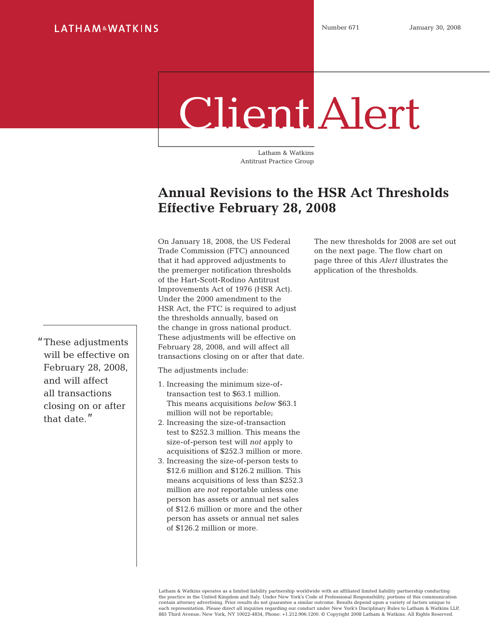# Client Alert

Latham & Watkins Antitrust Practice Group

## **Annual Revisions to the HSR Act Thresholds Effective February 28, 2008**

On January 18, 2008, the US Federal Trade Commission (FTC) announced that it had approved adjustments to the premerger notification thresholds of the Hart-Scott-Rodino Antitrust Improvements Act of 1976 (HSR Act). Under the 2000 amendment to the HSR Act, the FTC is required to adjust the thresholds annually, based on the change in gross national product. These adjustments will be effective on February 28, 2008, and will affect all transactions closing on or after that date.

The adjustments include:

- 1. Increasing the minimum size-oftransaction test to \$63.1 million. This means acquisitions *below* \$63.1 million will not be reportable;
- 2. Increasing the size-of-transaction test to \$252.3 million. This means the size-of-person test will *not* apply to acquisitions of \$252.3 million or more.
- 3. Increasing the size-of-person tests to \$12.6 million and \$126.2 million. This means acquisitions of less than \$252.3 million are *not* reportable unless one person has assets or annual net sales of \$12.6 million or more and the other person has assets or annual net sales of \$126.2 million or more.

The new thresholds for 2008 are set out on the next page. The flow chart on page three of this *Alert* illustrates the application of the thresholds.

These adjustments will be effective on February 28, 2008, and will affect all transactions closing on or after that date."

> Latham & Watkins operates as a limited liability partnership worldwide with an affiliated limited liability partnership conducting the practice in the United Kingdom and Italy. Under New York's Code of Professional Responsibility, portions of this communication contain attorney advertising. Prior results do not guarantee a similar outcome. Results depend upon a variety of factors unique to each representation. Please direct all inquiries regarding our conduct under New York's Disciplinary Rules to Latham & Watkins LLP,<br>885 Third Avenue, New York, NY 10022-4834, Phone: +1.212.906.1200. © Copyright 2008 Latham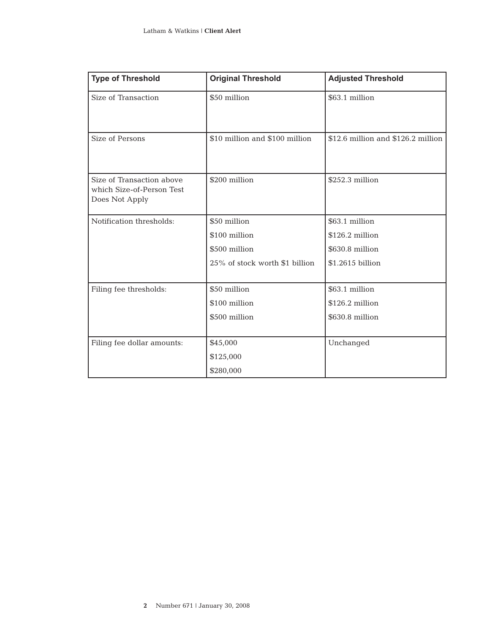| <b>Type of Threshold</b>                                                 | <b>Original Threshold</b>      | <b>Adjusted Threshold</b>          |
|--------------------------------------------------------------------------|--------------------------------|------------------------------------|
| Size of Transaction                                                      | \$50 million                   | \$63.1 million                     |
| Size of Persons                                                          | \$10 million and \$100 million | \$12.6 million and \$126.2 million |
| Size of Transaction above<br>which Size-of-Person Test<br>Does Not Apply | \$200 million                  | \$252.3 million                    |
| Notification thresholds:                                                 | \$50 million                   | \$63.1 million                     |
|                                                                          | \$100 million                  | \$126.2 million                    |
|                                                                          | \$500 million                  | \$630.8 million                    |
|                                                                          | 25% of stock worth \$1 billion | \$1.2615 billion                   |
| Filing fee thresholds:                                                   | \$50 million                   | \$63.1 million                     |
|                                                                          | \$100 million                  | \$126.2 million                    |
|                                                                          | \$500 million                  | \$630.8 million                    |
| Filing fee dollar amounts:                                               | \$45,000                       | Unchanged                          |
|                                                                          | \$125,000                      |                                    |
|                                                                          | \$280,000                      |                                    |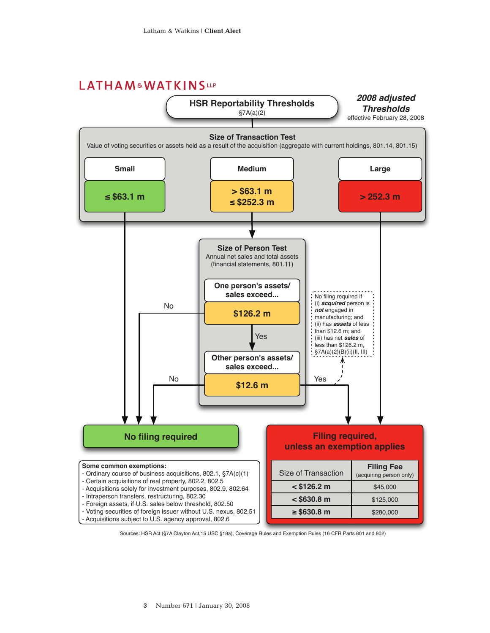### LATHAM&WATKINSLLP



Sources: HSR Act (§7A Clayton Act,15 USC §18a), Coverage Rules and Exemption Rules (16 CFR Parts 801 and 802)